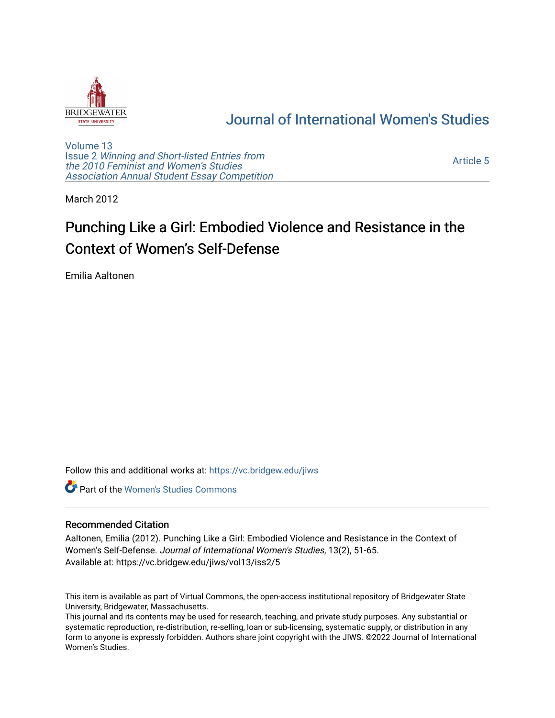

# [Journal of International Women's Studies](https://vc.bridgew.edu/jiws)

[Volume 13](https://vc.bridgew.edu/jiws/vol13) Issue 2 [Winning and Short-listed Entries from](https://vc.bridgew.edu/jiws/vol13/iss2)  [the 2010 Feminist and Women's Studies](https://vc.bridgew.edu/jiws/vol13/iss2)  [Association Annual Student Essay Competition](https://vc.bridgew.edu/jiws/vol13/iss2)

[Article 5](https://vc.bridgew.edu/jiws/vol13/iss2/5) 

March 2012

# Punching Like a Girl: Embodied Violence and Resistance in the Context of Women's Self-Defense

Emilia Aaltonen

Follow this and additional works at: [https://vc.bridgew.edu/jiws](https://vc.bridgew.edu/jiws?utm_source=vc.bridgew.edu%2Fjiws%2Fvol13%2Fiss2%2F5&utm_medium=PDF&utm_campaign=PDFCoverPages)

**C** Part of the Women's Studies Commons

#### Recommended Citation

Aaltonen, Emilia (2012). Punching Like a Girl: Embodied Violence and Resistance in the Context of Women's Self-Defense. Journal of International Women's Studies, 13(2), 51-65. Available at: https://vc.bridgew.edu/jiws/vol13/iss2/5

This item is available as part of Virtual Commons, the open-access institutional repository of Bridgewater State University, Bridgewater, Massachusetts.

This journal and its contents may be used for research, teaching, and private study purposes. Any substantial or systematic reproduction, re-distribution, re-selling, loan or sub-licensing, systematic supply, or distribution in any form to anyone is expressly forbidden. Authors share joint copyright with the JIWS. ©2022 Journal of International Women's Studies.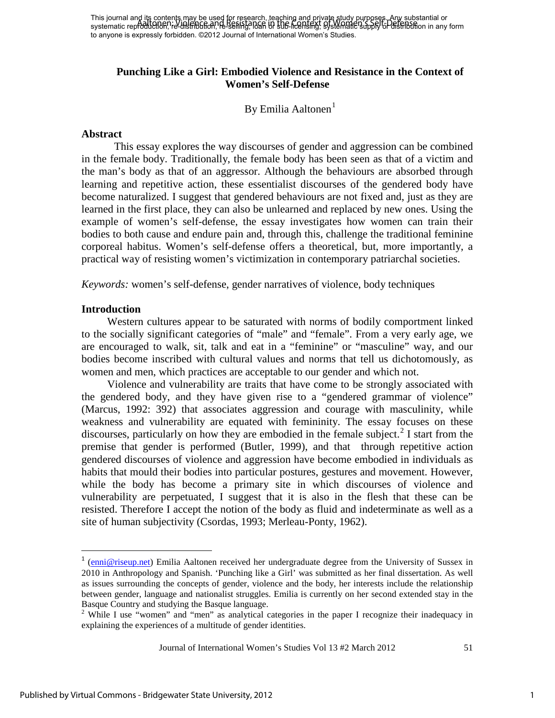# **Punching Like a Girl: Embodied Violence and Resistance in the Context of Women's Self-Defense**

By Emilia Aaltonen<sup>[1](#page-1-0)</sup>

#### **Abstract**

This essay explores the way discourses of gender and aggression can be combined in the female body. Traditionally, the female body has been seen as that of a victim and the man's body as that of an aggressor. Although the behaviours are absorbed through learning and repetitive action, these essentialist discourses of the gendered body have become naturalized. I suggest that gendered behaviours are not fixed and, just as they are learned in the first place, they can also be unlearned and replaced by new ones. Using the example of women's self-defense, the essay investigates how women can train their bodies to both cause and endure pain and, through this, challenge the traditional feminine corporeal habitus. Women's self-defense offers a theoretical, but, more importantly, a practical way of resisting women's victimization in contemporary patriarchal societies.

*Keywords:* women's self-defense, gender narratives of violence, body techniques

## **Introduction**

 $\overline{\phantom{0}}$ 

Western cultures appear to be saturated with norms of bodily comportment linked to the socially significant categories of "male" and "female". From a very early age, we are encouraged to walk, sit, talk and eat in a "feminine" or "masculine" way, and our bodies become inscribed with cultural values and norms that tell us dichotomously, as women and men, which practices are acceptable to our gender and which not.

Violence and vulnerability are traits that have come to be strongly associated with the gendered body, and they have given rise to a "gendered grammar of violence" (Marcus, 1992: 392) that associates aggression and courage with masculinity, while weakness and vulnerability are equated with femininity. The essay focuses on these discourses, particularly on how they are embodied in the female subject.<sup>[2](#page-1-1)</sup> I start from the premise that gender is performed (Butler, 1999), and that through repetitive action gendered discourses of violence and aggression have become embodied in individuals as habits that mould their bodies into particular postures, gestures and movement. However, while the body has become a primary site in which discourses of violence and vulnerability are perpetuated, I suggest that it is also in the flesh that these can be resisted. Therefore I accept the notion of the body as fluid and indeterminate as well as a site of human subjectivity (Csordas, 1993; Merleau-Ponty, 1962).

Journal of International Women's Studies Vol 13 #2 March 2012 51

<span id="page-1-0"></span><sup>&</sup>lt;sup>1</sup> ([enni@riseup.net\)](mailto:enni@riseup.net) Emilia Aaltonen received her undergraduate degree from the University of Sussex in 2010 in Anthropology and Spanish. 'Punching like a Girl' was submitted as her final dissertation. As well as issues surrounding the concepts of gender, violence and the body, her interests include the relationship between gender, language and nationalist struggles. Emilia is currently on her second extended stay in the Basque Country and studying the Basque language.

<span id="page-1-1"></span><sup>&</sup>lt;sup>2</sup> While I use "women" and "men" as analytical categories in the paper I recognize their inadequacy in explaining the experiences of a multitude of gender identities.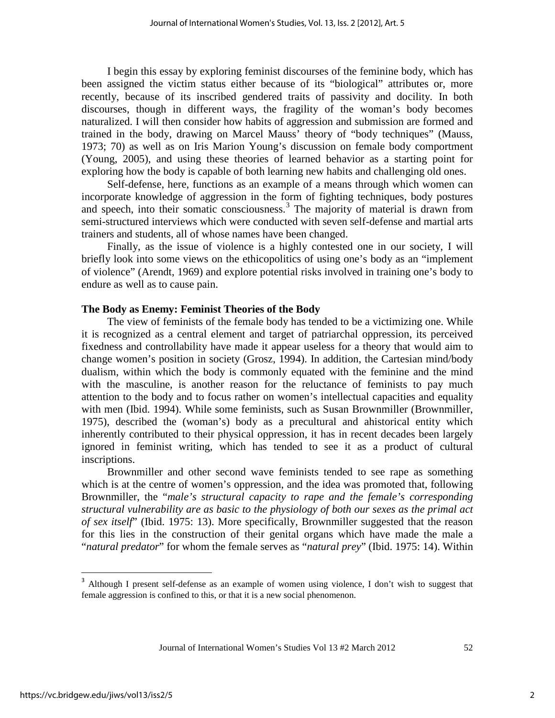I begin this essay by exploring feminist discourses of the feminine body, which has been assigned the victim status either because of its "biological" attributes or, more recently, because of its inscribed gendered traits of passivity and docility*.* In both discourses, though in different ways, the fragility of the woman's body becomes naturalized. I will then consider how habits of aggression and submission are formed and trained in the body, drawing on Marcel Mauss' theory of "body techniques" (Mauss, 1973; 70) as well as on Iris Marion Young's discussion on female body comportment (Young, 2005), and using these theories of learned behavior as a starting point for exploring how the body is capable of both learning new habits and challenging old ones.

Self-defense, here, functions as an example of a means through which women can incorporate knowledge of aggression in the form of fighting techniques, body postures and speech, into their somatic consciousness.<sup>[3](#page-2-0)</sup> The majority of material is drawn from semi-structured interviews which were conducted with seven self-defense and martial arts trainers and students, all of whose names have been changed.

Finally, as the issue of violence is a highly contested one in our society, I will briefly look into some views on the ethicopolitics of using one's body as an "implement of violence" (Arendt, 1969) and explore potential risks involved in training one's body to endure as well as to cause pain.

#### **The Body as Enemy: Feminist Theories of the Body**

The view of feminists of the female body has tended to be a victimizing one. While it is recognized as a central element and target of patriarchal oppression, its perceived fixedness and controllability have made it appear useless for a theory that would aim to change women's position in society (Grosz, 1994). In addition, the Cartesian mind/body dualism, within which the body is commonly equated with the feminine and the mind with the masculine, is another reason for the reluctance of feminists to pay much attention to the body and to focus rather on women's intellectual capacities and equality with men (Ibid. 1994). While some feminists, such as Susan Brownmiller (Brownmiller, 1975), described the (woman's) body as a precultural and ahistorical entity which inherently contributed to their physical oppression, it has in recent decades been largely ignored in feminist writing, which has tended to see it as a product of cultural inscriptions.

Brownmiller and other second wave feminists tended to see rape as something which is at the centre of women's oppression, and the idea was promoted that, following Brownmiller, the "*male's structural capacity to rape and the female's corresponding structural vulnerability are as basic to the physiology of both our sexes as the primal act of sex itself*" (Ibid. 1975: 13). More specifically, Brownmiller suggested that the reason for this lies in the construction of their genital organs which have made the male a "*natural predator*" for whom the female serves as "*natural prey*" (Ibid. 1975: 14). Within

 $\overline{\phantom{0}}$ 

<span id="page-2-0"></span><sup>&</sup>lt;sup>3</sup> Although I present self-defense as an example of women using violence, I don't wish to suggest that female aggression is confined to this, or that it is a new social phenomenon.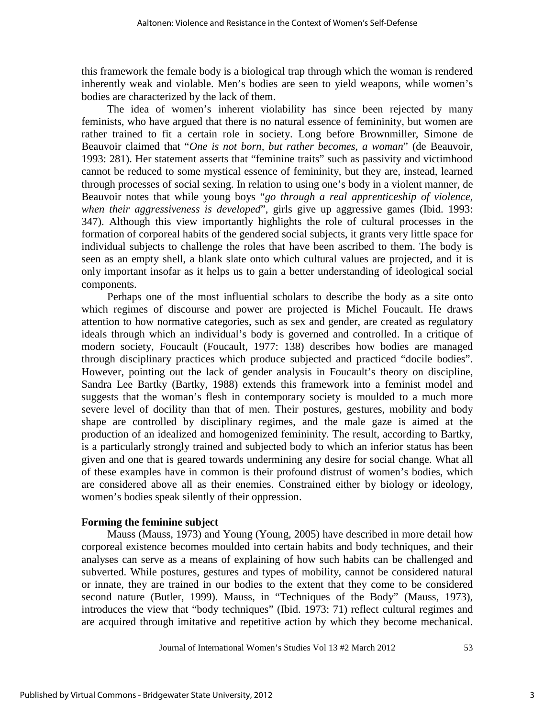this framework the female body is a biological trap through which the woman is rendered inherently weak and violable. Men's bodies are seen to yield weapons, while women's bodies are characterized by the lack of them.

The idea of women's inherent violability has since been rejected by many feminists, who have argued that there is no natural essence of femininity, but women are rather trained to fit a certain role in society. Long before Brownmiller, Simone de Beauvoir claimed that "*One is not born, but rather becomes, a woman*" (de Beauvoir, 1993: 281). Her statement asserts that "feminine traits" such as passivity and victimhood cannot be reduced to some mystical essence of femininity, but they are, instead, learned through processes of social sexing. In relation to using one's body in a violent manner, de Beauvoir notes that while young boys "*go through a real apprenticeship of violence, when their aggressiveness is developed*", girls give up aggressive games (Ibid. 1993: 347). Although this view importantly highlights the role of cultural processes in the formation of corporeal habits of the gendered social subjects, it grants very little space for individual subjects to challenge the roles that have been ascribed to them. The body is seen as an empty shell, a blank slate onto which cultural values are projected, and it is only important insofar as it helps us to gain a better understanding of ideological social components.

Perhaps one of the most influential scholars to describe the body as a site onto which regimes of discourse and power are projected is Michel Foucault. He draws attention to how normative categories, such as sex and gender, are created as regulatory ideals through which an individual's body is governed and controlled. In a critique of modern society, Foucault (Foucault, 1977: 138) describes how bodies are managed through disciplinary practices which produce subjected and practiced "docile bodies". However, pointing out the lack of gender analysis in Foucault's theory on discipline, Sandra Lee Bartky (Bartky, 1988) extends this framework into a feminist model and suggests that the woman's flesh in contemporary society is moulded to a much more severe level of docility than that of men. Their postures, gestures, mobility and body shape are controlled by disciplinary regimes, and the male gaze is aimed at the production of an idealized and homogenized femininity. The result, according to Bartky, is a particularly strongly trained and subjected body to which an inferior status has been given and one that is geared towards undermining any desire for social change. What all of these examples have in common is their profound distrust of women's bodies, which are considered above all as their enemies. Constrained either by biology or ideology, women's bodies speak silently of their oppression.

#### **Forming the feminine subject**

Mauss (Mauss, 1973) and Young (Young, 2005) have described in more detail how corporeal existence becomes moulded into certain habits and body techniques, and their analyses can serve as a means of explaining of how such habits can be challenged and subverted. While postures, gestures and types of mobility, cannot be considered natural or innate, they are trained in our bodies to the extent that they come to be considered second nature (Butler, 1999). Mauss, in "Techniques of the Body" (Mauss, 1973), introduces the view that "body techniques" (Ibid. 1973: 71) reflect cultural regimes and are acquired through imitative and repetitive action by which they become mechanical.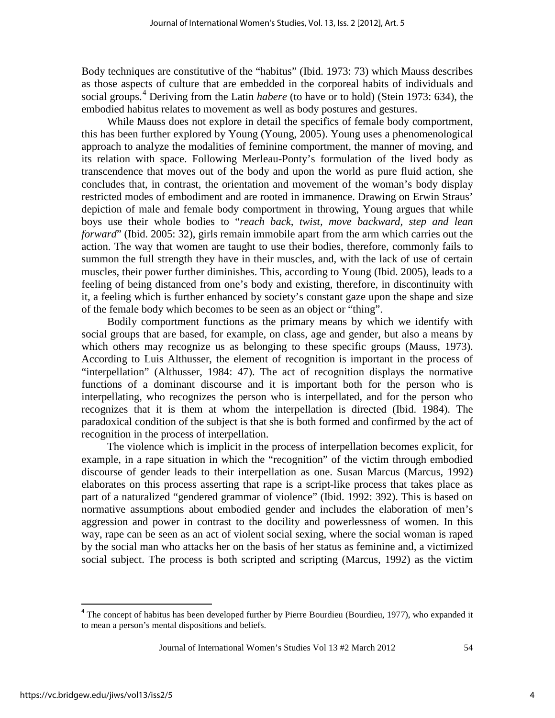Body techniques are constitutive of the "habitus" (Ibid. 1973: 73) which Mauss describes as those aspects of culture that are embedded in the corporeal habits of individuals and social groups.<sup>[4](#page-4-0)</sup> Deriving from the Latin *habere* (to have or to hold) (Stein 1973: 634), the embodied habitus relates to movement as well as body postures and gestures.

While Mauss does not explore in detail the specifics of female body comportment, this has been further explored by Young (Young, 2005). Young uses a phenomenological approach to analyze the modalities of feminine comportment, the manner of moving, and its relation with space. Following Merleau-Ponty's formulation of the lived body as transcendence that moves out of the body and upon the world as pure fluid action, she concludes that, in contrast, the orientation and movement of the woman's body display restricted modes of embodiment and are rooted in immanence. Drawing on Erwin Straus' depiction of male and female body comportment in throwing, Young argues that while boys use their whole bodies to "*reach back, twist, move backward, step and lean forward*" (Ibid. 2005: 32), girls remain immobile apart from the arm which carries out the action. The way that women are taught to use their bodies, therefore, commonly fails to summon the full strength they have in their muscles, and, with the lack of use of certain muscles, their power further diminishes. This, according to Young (Ibid. 2005), leads to a feeling of being distanced from one's body and existing, therefore, in discontinuity with it, a feeling which is further enhanced by society's constant gaze upon the shape and size of the female body which becomes to be seen as an object or "thing".

Bodily comportment functions as the primary means by which we identify with social groups that are based, for example, on class, age and gender, but also a means by which others may recognize us as belonging to these specific groups (Mauss, 1973). According to Luis Althusser, the element of recognition is important in the process of "interpellation" (Althusser, 1984: 47). The act of recognition displays the normative functions of a dominant discourse and it is important both for the person who is interpellating, who recognizes the person who is interpellated, and for the person who recognizes that it is them at whom the interpellation is directed (Ibid. 1984). The paradoxical condition of the subject is that she is both formed and confirmed by the act of recognition in the process of interpellation.

The violence which is implicit in the process of interpellation becomes explicit, for example, in a rape situation in which the "recognition" of the victim through embodied discourse of gender leads to their interpellation as one. Susan Marcus (Marcus, 1992) elaborates on this process asserting that rape is a script-like process that takes place as part of a naturalized "gendered grammar of violence" (Ibid. 1992: 392). This is based on normative assumptions about embodied gender and includes the elaboration of men's aggression and power in contrast to the docility and powerlessness of women. In this way, rape can be seen as an act of violent social sexing, where the social woman is raped by the social man who attacks her on the basis of her status as feminine and, a victimized social subject. The process is both scripted and scripting (Marcus, 1992) as the victim

ı

<span id="page-4-0"></span> $<sup>4</sup>$  The concept of habitus has been developed further by Pierre Bourdieu (Bourdieu, 1977), who expanded it</sup> to mean a person's mental dispositions and beliefs.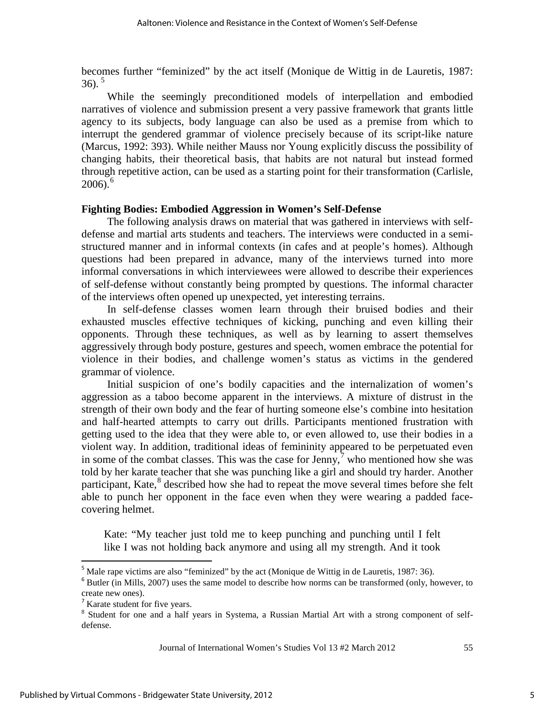becomes further "feminized" by the act itself (Monique de Wittig in de Lauretis, 1987: 36).<sup>[5](#page-5-0)</sup>

While the seemingly preconditioned models of interpellation and embodied narratives of violence and submission present a very passive framework that grants little agency to its subjects, body language can also be used as a premise from which to interrupt the gendered grammar of violence precisely because of its script-like nature (Marcus, 1992: 393). While neither Mauss nor Young explicitly discuss the possibility of changing habits, their theoretical basis, that habits are not natural but instead formed through repetitive action, can be used as a starting point for their transformation (Carlisle,  $2006$  $2006$ ).<sup>6</sup>

## **Fighting Bodies: Embodied Aggression in Women's Self-Defense**

The following analysis draws on material that was gathered in interviews with selfdefense and martial arts students and teachers. The interviews were conducted in a semistructured manner and in informal contexts (in cafes and at people's homes). Although questions had been prepared in advance, many of the interviews turned into more informal conversations in which interviewees were allowed to describe their experiences of self-defense without constantly being prompted by questions. The informal character of the interviews often opened up unexpected, yet interesting terrains.

In self-defense classes women learn through their bruised bodies and their exhausted muscles effective techniques of kicking, punching and even killing their opponents. Through these techniques, as well as by learning to assert themselves aggressively through body posture, gestures and speech, women embrace the potential for violence in their bodies, and challenge women's status as victims in the gendered grammar of violence.

Initial suspicion of one's bodily capacities and the internalization of women's aggression as a taboo become apparent in the interviews. A mixture of distrust in the strength of their own body and the fear of hurting someone else's combine into hesitation and half-hearted attempts to carry out drills. Participants mentioned frustration with getting used to the idea that they were able to, or even allowed to, use their bodies in a violent way. In addition, traditional ideas of femininity appeared to be perpetuated even in some of the combat classes. This was the case for Jenny,  $\frac{1}{2}$  who mentioned how she was told by her karate teacher that she was punching like a girl and should try harder. Another participant, Kate, <sup>[8](#page-5-3)</sup> described how she had to repeat the move several times before she felt able to punch her opponent in the face even when they were wearing a padded facecovering helmet.

Kate: "My teacher just told me to keep punching and punching until I felt like I was not holding back anymore and using all my strength. And it took

 $\overline{\phantom{0}}$ 

5

<span id="page-5-0"></span><sup>&</sup>lt;sup>5</sup> Male rape victims are also "feminized" by the act (Monique de Wittig in de Lauretis, 1987: 36).

<span id="page-5-1"></span> $6$  Butler (in Mills, 2007) uses the same model to describe how norms can be transformed (only, however, to create new ones).<br> $7\%$  Karate student for five years.

<span id="page-5-3"></span><span id="page-5-2"></span><sup>&</sup>lt;sup>8</sup> Student for one and a half years in Systema, a Russian Martial Art with a strong component of selfdefense.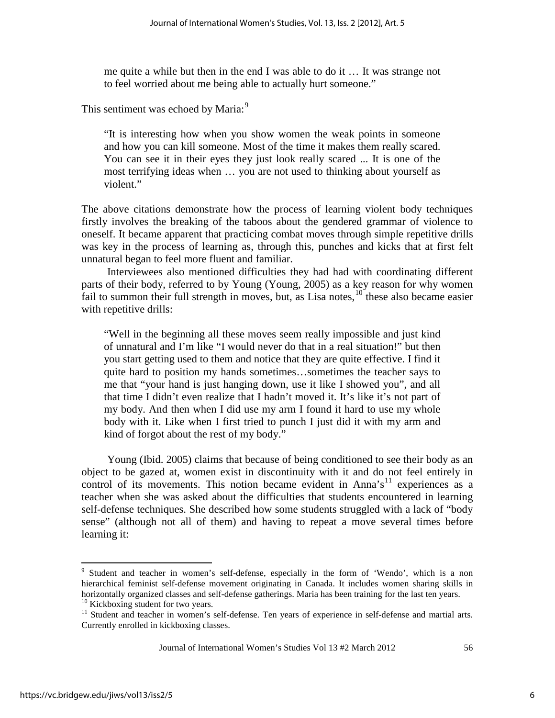me quite a while but then in the end I was able to do it … It was strange not to feel worried about me being able to actually hurt someone."

This sentiment was echoed by Maria:<sup>[9](#page-6-0)</sup>

"It is interesting how when you show women the weak points in someone and how you can kill someone. Most of the time it makes them really scared. You can see it in their eyes they just look really scared ... It is one of the most terrifying ideas when … you are not used to thinking about yourself as violent."

The above citations demonstrate how the process of learning violent body techniques firstly involves the breaking of the taboos about the gendered grammar of violence to oneself. It became apparent that practicing combat moves through simple repetitive drills was key in the process of learning as, through this, punches and kicks that at first felt unnatural began to feel more fluent and familiar.

Interviewees also mentioned difficulties they had had with coordinating different parts of their body, referred to by Young (Young, 2005) as a key reason for why women fail to summon their full strength in moves, but, as Lisa notes,  $10^{\circ}$  $10^{\circ}$  these also became easier with repetitive drills:

"Well in the beginning all these moves seem really impossible and just kind of unnatural and I'm like "I would never do that in a real situation!" but then you start getting used to them and notice that they are quite effective. I find it quite hard to position my hands sometimes…sometimes the teacher says to me that "your hand is just hanging down, use it like I showed you", and all that time I didn't even realize that I hadn't moved it. It's like it's not part of my body. And then when I did use my arm I found it hard to use my whole body with it. Like when I first tried to punch I just did it with my arm and kind of forgot about the rest of my body."

Young (Ibid. 2005) claims that because of being conditioned to see their body as an object to be gazed at, women exist in discontinuity with it and do not feel entirely in control of its movements. This notion became evident in Anna's<sup>[11](#page-6-2)</sup> experiences as a teacher when she was asked about the difficulties that students encountered in learning self-defense techniques. She described how some students struggled with a lack of "body sense" (although not all of them) and having to repeat a move several times before learning it:

ı

<span id="page-6-0"></span><sup>9</sup> Student and teacher in women's self-defense, especially in the form of 'Wendo', which is a non hierarchical feminist self-defense movement originating in Canada. It includes women sharing skills in horizontally organized classes and self-defense gatherings. Maria has been training for the last ten years.<br><sup>10</sup> Kickboxing student for two years.<br><sup>11</sup> Student and teacher in women's self-defense. Ten years of experience

<span id="page-6-2"></span><span id="page-6-1"></span>Currently enrolled in kickboxing classes.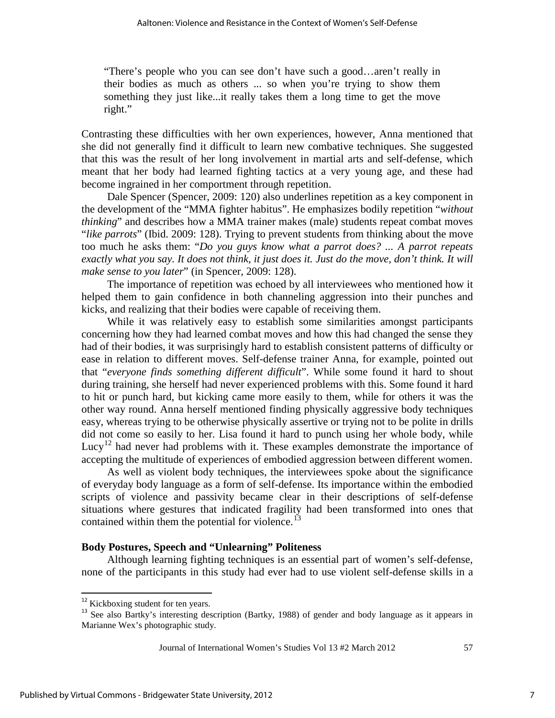"There's people who you can see don't have such a good…aren't really in their bodies as much as others ... so when you're trying to show them something they just like...it really takes them a long time to get the move right."

Contrasting these difficulties with her own experiences, however, Anna mentioned that she did not generally find it difficult to learn new combative techniques. She suggested that this was the result of her long involvement in martial arts and self-defense, which meant that her body had learned fighting tactics at a very young age, and these had become ingrained in her comportment through repetition.

Dale Spencer (Spencer, 2009: 120) also underlines repetition as a key component in the development of the "MMA fighter habitus". He emphasizes bodily repetition "*without thinking*" and describes how a MMA trainer makes (male) students repeat combat moves "*like parrots*" (Ibid. 2009: 128). Trying to prevent students from thinking about the move too much he asks them: "*Do you guys know what a parrot does? ... A parrot repeats exactly what you say. It does not think, it just does it. Just do the move, don't think. It will make sense to you later*" (in Spencer, 2009: 128).

The importance of repetition was echoed by all interviewees who mentioned how it helped them to gain confidence in both channeling aggression into their punches and kicks, and realizing that their bodies were capable of receiving them.

While it was relatively easy to establish some similarities amongst participants concerning how they had learned combat moves and how this had changed the sense they had of their bodies, it was surprisingly hard to establish consistent patterns of difficulty or ease in relation to different moves. Self-defense trainer Anna, for example, pointed out that "*everyone finds something different difficult*". While some found it hard to shout during training, she herself had never experienced problems with this. Some found it hard to hit or punch hard, but kicking came more easily to them, while for others it was the other way round. Anna herself mentioned finding physically aggressive body techniques easy, whereas trying to be otherwise physically assertive or trying not to be polite in drills did not come so easily to her. Lisa found it hard to punch using her whole body, while Lucy<sup>[12](#page-7-0)</sup> had never had problems with it. These examples demonstrate the importance of accepting the multitude of experiences of embodied aggression between different women.

As well as violent body techniques, the interviewees spoke about the significance of everyday body language as a form of self-defense. Its importance within the embodied scripts of violence and passivity became clear in their descriptions of self-defense situations where gestures that indicated fragility had been transformed into ones that contained within them the potential for violence.<sup>[13](#page-7-1)</sup>

#### **Body Postures, Speech and "Unlearning" Politeness**

Although learning fighting techniques is an essential part of women's self-defense, none of the participants in this study had ever had to use violent self-defense skills in a

 $\overline{\phantom{0}}$ 

<span id="page-7-1"></span><span id="page-7-0"></span><sup>&</sup>lt;sup>12</sup> Kickboxing student for ten years.<br><sup>13</sup> See also Bartky's interesting description (Bartky, 1988) of gender and body language as it appears in Marianne Wex's photographic study.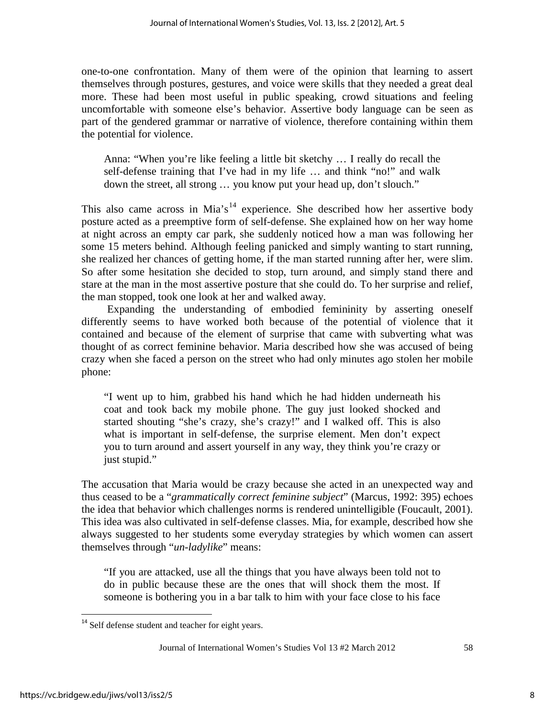one-to-one confrontation. Many of them were of the opinion that learning to assert themselves through postures, gestures, and voice were skills that they needed a great deal more. These had been most useful in public speaking, crowd situations and feeling uncomfortable with someone else's behavior. Assertive body language can be seen as part of the gendered grammar or narrative of violence, therefore containing within them the potential for violence.

Anna: "When you're like feeling a little bit sketchy … I really do recall the self-defense training that I've had in my life … and think "no!" and walk down the street, all strong … you know put your head up, don't slouch."

This also came across in Mia's<sup>[14](#page-8-0)</sup> experience. She described how her assertive body posture acted as a preemptive form of self-defense. She explained how on her way home at night across an empty car park, she suddenly noticed how a man was following her some 15 meters behind. Although feeling panicked and simply wanting to start running, she realized her chances of getting home, if the man started running after her, were slim. So after some hesitation she decided to stop, turn around, and simply stand there and stare at the man in the most assertive posture that she could do. To her surprise and relief, the man stopped, took one look at her and walked away.

Expanding the understanding of embodied femininity by asserting oneself differently seems to have worked both because of the potential of violence that it contained and because of the element of surprise that came with subverting what was thought of as correct feminine behavior. Maria described how she was accused of being crazy when she faced a person on the street who had only minutes ago stolen her mobile phone:

"I went up to him, grabbed his hand which he had hidden underneath his coat and took back my mobile phone. The guy just looked shocked and started shouting "she's crazy, she's crazy!" and I walked off. This is also what is important in self-defense, the surprise element. Men don't expect you to turn around and assert yourself in any way, they think you're crazy or just stupid."

The accusation that Maria would be crazy because she acted in an unexpected way and thus ceased to be a "*grammatically correct feminine subject*" (Marcus, 1992: 395) echoes the idea that behavior which challenges norms is rendered unintelligible (Foucault, 2001). This idea was also cultivated in self-defense classes. Mia, for example, described how she always suggested to her students some everyday strategies by which women can assert themselves through "*un-ladylike*" means:

"If you are attacked, use all the things that you have always been told not to do in public because these are the ones that will shock them the most. If someone is bothering you in a bar talk to him with your face close to his face

 $\overline{\phantom{0}}$ 

<span id="page-8-0"></span><sup>&</sup>lt;sup>14</sup> Self defense student and teacher for eight years.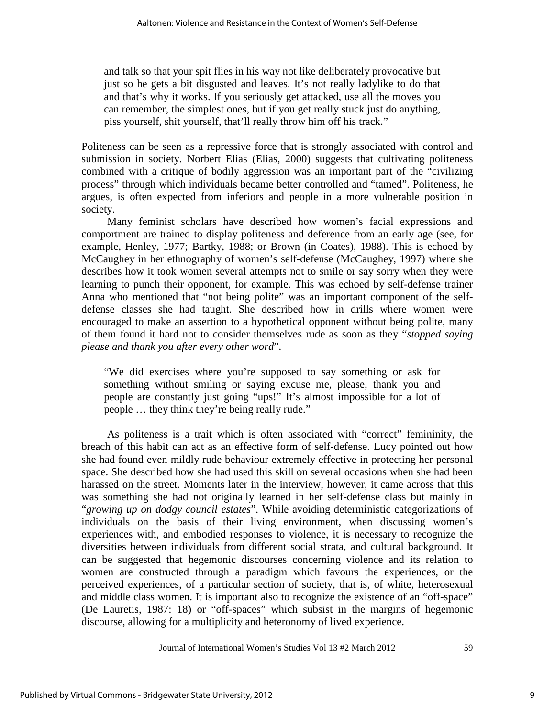and talk so that your spit flies in his way not like deliberately provocative but just so he gets a bit disgusted and leaves. It's not really ladylike to do that and that's why it works. If you seriously get attacked, use all the moves you can remember, the simplest ones, but if you get really stuck just do anything, piss yourself, shit yourself, that'll really throw him off his track."

Politeness can be seen as a repressive force that is strongly associated with control and submission in society. Norbert Elias (Elias, 2000) suggests that cultivating politeness combined with a critique of bodily aggression was an important part of the "civilizing process" through which individuals became better controlled and "tamed". Politeness, he argues, is often expected from inferiors and people in a more vulnerable position in society.

Many feminist scholars have described how women's facial expressions and comportment are trained to display politeness and deference from an early age (see, for example, Henley, 1977; Bartky, 1988; or Brown (in Coates), 1988). This is echoed by McCaughey in her ethnography of women's self-defense (McCaughey, 1997) where she describes how it took women several attempts not to smile or say sorry when they were learning to punch their opponent, for example. This was echoed by self-defense trainer Anna who mentioned that "not being polite" was an important component of the selfdefense classes she had taught. She described how in drills where women were encouraged to make an assertion to a hypothetical opponent without being polite, many of them found it hard not to consider themselves rude as soon as they "*stopped saying please and thank you after every other word*".

"We did exercises where you're supposed to say something or ask for something without smiling or saying excuse me, please, thank you and people are constantly just going "ups!" It's almost impossible for a lot of people … they think they're being really rude."

As politeness is a trait which is often associated with "correct" femininity, the breach of this habit can act as an effective form of self-defense. Lucy pointed out how she had found even mildly rude behaviour extremely effective in protecting her personal space. She described how she had used this skill on several occasions when she had been harassed on the street. Moments later in the interview, however, it came across that this was something she had not originally learned in her self-defense class but mainly in "*growing up on dodgy council estates*". While avoiding deterministic categorizations of individuals on the basis of their living environment, when discussing women's experiences with, and embodied responses to violence, it is necessary to recognize the diversities between individuals from different social strata, and cultural background. It can be suggested that hegemonic discourses concerning violence and its relation to women are constructed through a paradigm which favours the experiences, or the perceived experiences, of a particular section of society, that is, of white, heterosexual and middle class women. It is important also to recognize the existence of an "off-space" (De Lauretis, 1987: 18) or "off-spaces" which subsist in the margins of hegemonic discourse, allowing for a multiplicity and heteronomy of lived experience.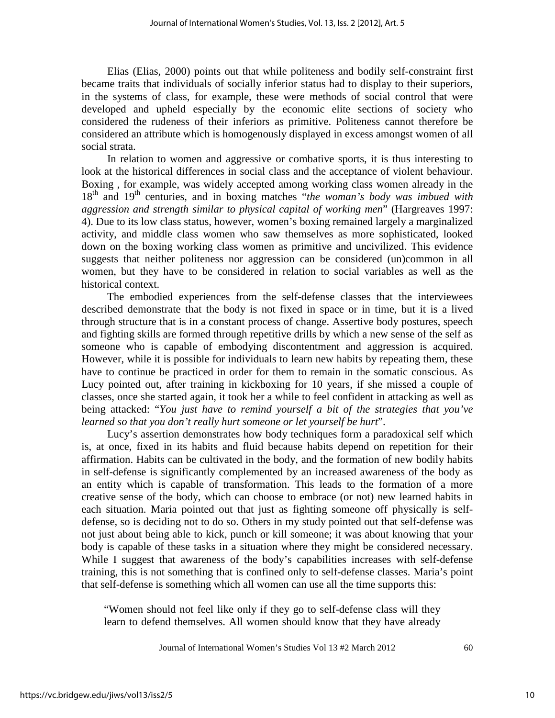Elias (Elias, 2000) points out that while politeness and bodily self-constraint first became traits that individuals of socially inferior status had to display to their superiors, in the systems of class, for example*,* these were methods of social control that were developed and upheld especially by the economic elite sections of society who considered the rudeness of their inferiors as primitive. Politeness cannot therefore be considered an attribute which is homogenously displayed in excess amongst women of all social strata.

In relation to women and aggressive or combative sports, it is thus interesting to look at the historical differences in social class and the acceptance of violent behaviour. Boxing , for example, was widely accepted among working class women already in the 18th and 19th centuries, and in boxing matches "*the woman's body was imbued with aggression and strength similar to physical capital of working men*" (Hargreaves 1997: 4). Due to its low class status, however, women's boxing remained largely a marginalized activity, and middle class women who saw themselves as more sophisticated, looked down on the boxing working class women as primitive and uncivilized. This evidence suggests that neither politeness nor aggression can be considered (un)common in all women, but they have to be considered in relation to social variables as well as the historical context.

The embodied experiences from the self-defense classes that the interviewees described demonstrate that the body is not fixed in space or in time, but it is a lived through structure that is in a constant process of change. Assertive body postures, speech and fighting skills are formed through repetitive drills by which a new sense of the self as someone who is capable of embodying discontentment and aggression is acquired. However, while it is possible for individuals to learn new habits by repeating them, these have to continue be practiced in order for them to remain in the somatic conscious. As Lucy pointed out, after training in kickboxing for 10 years, if she missed a couple of classes, once she started again, it took her a while to feel confident in attacking as well as being attacked: "*You just have to remind yourself a bit of the strategies that you've learned so that you don't really hurt someone or let yourself be hurt*".

Lucy's assertion demonstrates how body techniques form a paradoxical self which is, at once, fixed in its habits and fluid because habits depend on repetition for their affirmation. Habits can be cultivated in the body, and the formation of new bodily habits in self-defense is significantly complemented by an increased awareness of the body as an entity which is capable of transformation. This leads to the formation of a more creative sense of the body, which can choose to embrace (or not) new learned habits in each situation. Maria pointed out that just as fighting someone off physically is selfdefense, so is deciding not to do so. Others in my study pointed out that self-defense was not just about being able to kick, punch or kill someone; it was about knowing that your body is capable of these tasks in a situation where they might be considered necessary. While I suggest that awareness of the body's capabilities increases with self-defense training, this is not something that is confined only to self-defense classes. Maria's point that self-defense is something which all women can use all the time supports this:

"Women should not feel like only if they go to self-defense class will they learn to defend themselves. All women should know that they have already

Journal of International Women's Studies Vol 13 #2 March 2012 60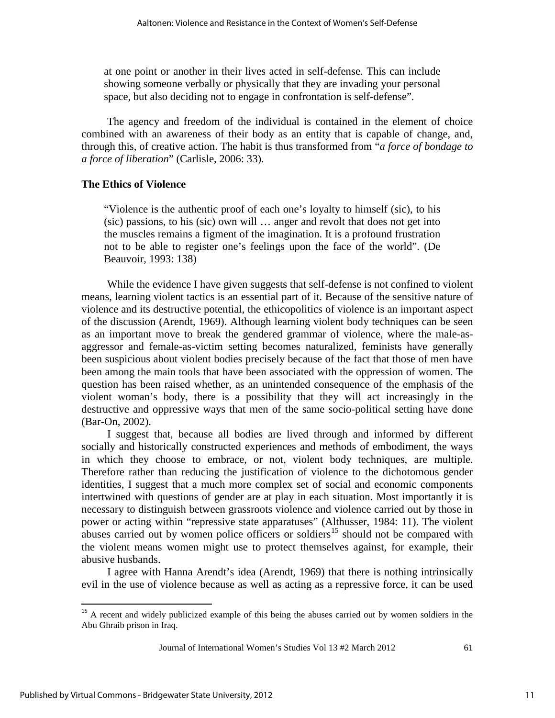at one point or another in their lives acted in self-defense. This can include showing someone verbally or physically that they are invading your personal space, but also deciding not to engage in confrontation is self-defense".

The agency and freedom of the individual is contained in the element of choice combined with an awareness of their body as an entity that is capable of change, and, through this, of creative action. The habit is thus transformed from "*a force of bondage to a force of liberation*" (Carlisle, 2006: 33).

#### **The Ethics of Violence**

"Violence is the authentic proof of each one's loyalty to himself (sic), to his (sic) passions, to his (sic) own will … anger and revolt that does not get into the muscles remains a figment of the imagination. It is a profound frustration not to be able to register one's feelings upon the face of the world". (De Beauvoir, 1993: 138)

While the evidence I have given suggests that self-defense is not confined to violent means, learning violent tactics is an essential part of it. Because of the sensitive nature of violence and its destructive potential, the ethicopolitics of violence is an important aspect of the discussion (Arendt, 1969). Although learning violent body techniques can be seen as an important move to break the gendered grammar of violence, where the male-asaggressor and female-as-victim setting becomes naturalized, feminists have generally been suspicious about violent bodies precisely because of the fact that those of men have been among the main tools that have been associated with the oppression of women. The question has been raised whether, as an unintended consequence of the emphasis of the violent woman's body, there is a possibility that they will act increasingly in the destructive and oppressive ways that men of the same socio-political setting have done (Bar-On, 2002).

I suggest that, because all bodies are lived through and informed by different socially and historically constructed experiences and methods of embodiment, the ways in which they choose to embrace, or not, violent body techniques, are multiple. Therefore rather than reducing the justification of violence to the dichotomous gender identities, I suggest that a much more complex set of social and economic components intertwined with questions of gender are at play in each situation. Most importantly it is necessary to distinguish between grassroots violence and violence carried out by those in power or acting within "repressive state apparatuses" (Althusser, 1984: 11). The violent abuses carried out by women police officers or soldiers<sup>[15](#page-11-0)</sup> should not be compared with the violent means women might use to protect themselves against, for example, their abusive husbands.

I agree with Hanna Arendt's idea (Arendt, 1969) that there is nothing intrinsically evil in the use of violence because as well as acting as a repressive force, it can be used

ı

<span id="page-11-0"></span><sup>&</sup>lt;sup>15</sup> A recent and widely publicized example of this being the abuses carried out by women soldiers in the Abu Ghraib prison in Iraq.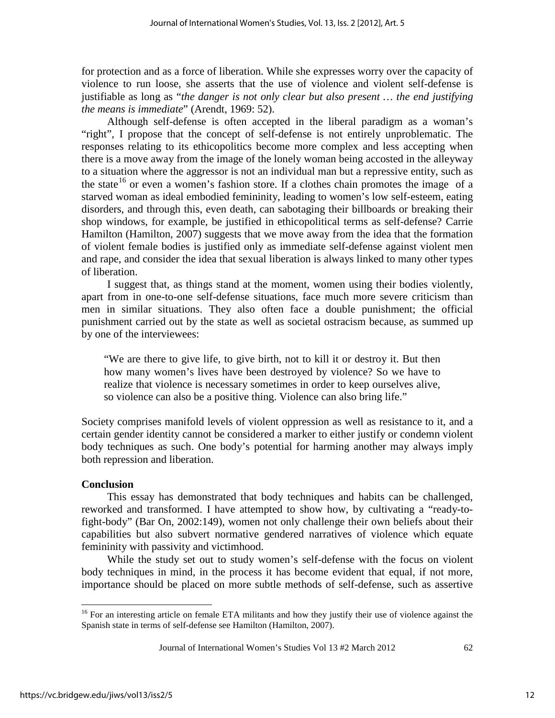for protection and as a force of liberation. While she expresses worry over the capacity of violence to run loose, she asserts that the use of violence and violent self-defense is justifiable as long as "*the danger is not only clear but also present … the end justifying the means is immediate*" (Arendt, 1969: 52).

Although self-defense is often accepted in the liberal paradigm as a woman's "right", I propose that the concept of self-defense is not entirely unproblematic. The responses relating to its ethicopolitics become more complex and less accepting when there is a move away from the image of the lonely woman being accosted in the alleyway to a situation where the aggressor is not an individual man but a repressive entity, such as the state<sup>[16](#page-12-0)</sup> or even a women's fashion store. If a clothes chain promotes the image of a starved woman as ideal embodied femininity, leading to women's low self-esteem, eating disorders, and through this, even death, can sabotaging their billboards or breaking their shop windows, for example, be justified in ethicopolitical terms as self-defense? Carrie Hamilton (Hamilton, 2007) suggests that we move away from the idea that the formation of violent female bodies is justified only as immediate self-defense against violent men and rape, and consider the idea that sexual liberation is always linked to many other types of liberation.

I suggest that, as things stand at the moment, women using their bodies violently, apart from in one-to-one self-defense situations, face much more severe criticism than men in similar situations. They also often face a double punishment; the official punishment carried out by the state as well as societal ostracism because, as summed up by one of the interviewees:

"We are there to give life, to give birth, not to kill it or destroy it. But then how many women's lives have been destroyed by violence? So we have to realize that violence is necessary sometimes in order to keep ourselves alive, so violence can also be a positive thing. Violence can also bring life."

Society comprises manifold levels of violent oppression as well as resistance to it, and a certain gender identity cannot be considered a marker to either justify or condemn violent body techniques as such. One body's potential for harming another may always imply both repression and liberation.

#### **Conclusion**

This essay has demonstrated that body techniques and habits can be challenged, reworked and transformed. I have attempted to show how, by cultivating a "ready-tofight-body" (Bar On, 2002:149), women not only challenge their own beliefs about their capabilities but also subvert normative gendered narratives of violence which equate femininity with passivity and victimhood.

While the study set out to study women's self-defense with the focus on violent body techniques in mind, in the process it has become evident that equal, if not more, importance should be placed on more subtle methods of self-defense, such as assertive

l

<span id="page-12-0"></span><sup>&</sup>lt;sup>16</sup> For an interesting article on female ETA militants and how they justify their use of violence against the Spanish state in terms of self-defense see Hamilton (Hamilton, 2007).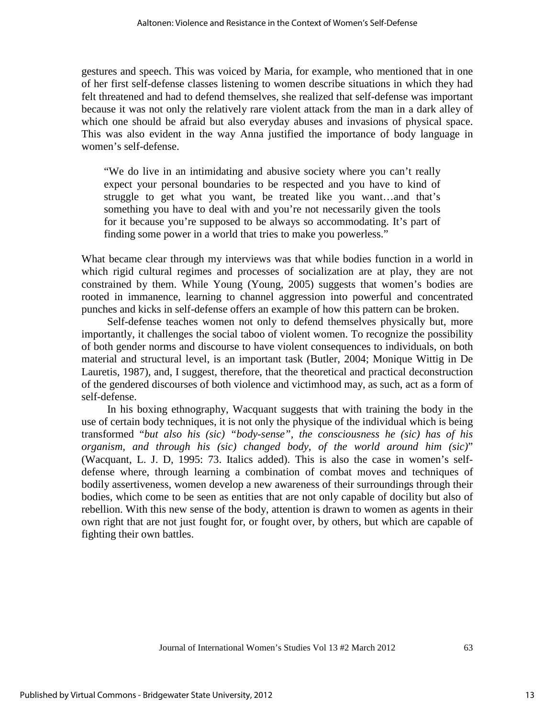gestures and speech. This was voiced by Maria, for example, who mentioned that in one of her first self-defense classes listening to women describe situations in which they had felt threatened and had to defend themselves, she realized that self-defense was important because it was not only the relatively rare violent attack from the man in a dark alley of which one should be afraid but also everyday abuses and invasions of physical space. This was also evident in the way Anna justified the importance of body language in women's self-defense.

"We do live in an intimidating and abusive society where you can't really expect your personal boundaries to be respected and you have to kind of struggle to get what you want, be treated like you want…and that's something you have to deal with and you're not necessarily given the tools for it because you're supposed to be always so accommodating. It's part of finding some power in a world that tries to make you powerless."

What became clear through my interviews was that while bodies function in a world in which rigid cultural regimes and processes of socialization are at play, they are not constrained by them. While Young (Young, 2005) suggests that women's bodies are rooted in immanence, learning to channel aggression into powerful and concentrated punches and kicks in self-defense offers an example of how this pattern can be broken.

Self-defense teaches women not only to defend themselves physically but, more importantly, it challenges the social taboo of violent women. To recognize the possibility of both gender norms and discourse to have violent consequences to individuals, on both material and structural level, is an important task (Butler, 2004; Monique Wittig in De Lauretis, 1987), and, I suggest, therefore, that the theoretical and practical deconstruction of the gendered discourses of both violence and victimhood may, as such, act as a form of self-defense.

In his boxing ethnography, Wacquant suggests that with training the body in the use of certain body techniques, it is not only the physique of the individual which is being transformed "*but also his (sic) "body-sense", the consciousness he (sic) has of his organism, and through his (sic) changed body, of the world around him (sic)*" (Wacquant, L. J. D, 1995: 73. Italics added). This is also the case in women's selfdefense where, through learning a combination of combat moves and techniques of bodily assertiveness, women develop a new awareness of their surroundings through their bodies, which come to be seen as entities that are not only capable of docility but also of rebellion. With this new sense of the body, attention is drawn to women as agents in their own right that are not just fought for, or fought over, by others, but which are capable of fighting their own battles.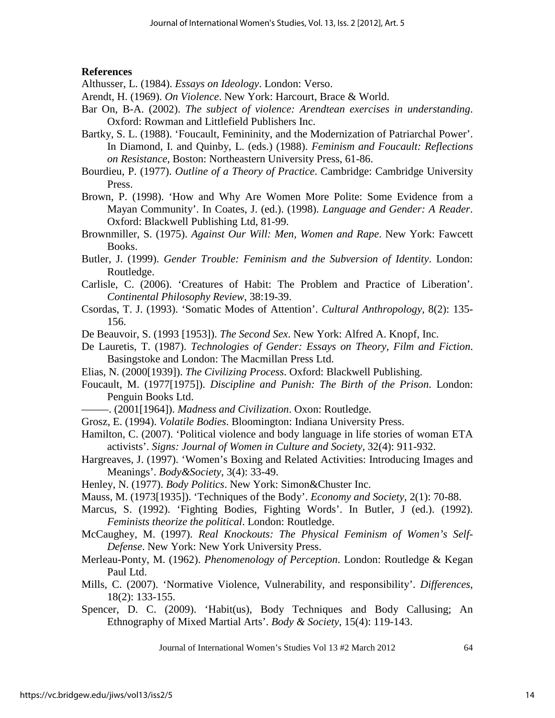# **References**

Althusser, L. (1984). *Essays on Ideology*. London: Verso.

- Arendt, H. (1969). *On Violence*. New York: Harcourt, Brace & World.
- Bar On, B-A. (2002). *The subject of violence: Arendtean exercises in understanding*. Oxford: Rowman and Littlefield Publishers Inc.
- Bartky, S. L. (1988). 'Foucault, Femininity, and the Modernization of Patriarchal Power'. In Diamond, I. and Quinby, L. (eds.) (1988). *Feminism and Foucault: Reflections on Resistance*, Boston: Northeastern University Press, 61-86.
- Bourdieu, P. (1977). *Outline of a Theory of Practice*. Cambridge: Cambridge University Press.
- Brown, P. (1998). 'How and Why Are Women More Polite: Some Evidence from a Mayan Community'. In Coates, J. (ed.). (1998). *Language and Gender: A Reader*. Oxford: Blackwell Publishing Ltd, 81-99.
- Brownmiller, S. (1975). *Against Our Will: Men, Women and Rape*. New York: Fawcett Books.
- Butler, J. (1999). *Gender Trouble: Feminism and the Subversion of Identity*. London: Routledge.
- Carlisle, C. (2006). 'Creatures of Habit: The Problem and Practice of Liberation'. *Continental Philosophy Review*, 38:19-39.
- Csordas, T. J. (1993). 'Somatic Modes of Attention'. *Cultural Anthropology*, 8(2): 135- 156.
- De Beauvoir, S. (1993 [1953]). *The Second Sex*. New York: Alfred A. Knopf, Inc.
- De Lauretis, T. (1987). *Technologies of Gender: Essays on Theory, Film and Fiction*. Basingstoke and London: The Macmillan Press Ltd.
- Elias, N. (2000[1939]). *The Civilizing Process*. Oxford: Blackwell Publishing.
- Foucault, M. (1977[1975]). *Discipline and Punish: The Birth of the Prison*. London: Penguin Books Ltd.
- –––––. (2001[1964]). *Madness and Civilization*. Oxon: Routledge.
- Grosz, E. (1994). *Volatile Bodies*. Bloomington: Indiana University Press.
- Hamilton, C. (2007). 'Political violence and body language in life stories of woman ETA activists'. *Signs: Journal of Women in Culture and Society*, 32(4): 911-932.
- Hargreaves, J. (1997). 'Women's Boxing and Related Activities: Introducing Images and Meanings'. *Body&Society*, 3(4): 33-49.
- Henley, N. (1977). *Body Politics*. New York: Simon&Chuster Inc.
- Mauss, M. (1973[1935]). 'Techniques of the Body'. *Economy and Society*, 2(1): 70-88.
- Marcus, S. (1992). 'Fighting Bodies, Fighting Words'. In Butler, J (ed.). (1992). *Feminists theorize the political*. London: Routledge.
- McCaughey, M. (1997). *Real Knockouts: The Physical Feminism of Women's Self-Defense*. New York: New York University Press.
- Merleau-Ponty, M. (1962). *Phenomenology of Perception*. London: Routledge & Kegan Paul Ltd.
- Mills, C. (2007). 'Normative Violence, Vulnerability, and responsibility'. *Differences*, 18(2): 133-155.
- Spencer, D. C. (2009). 'Habit(us), Body Techniques and Body Callusing; An Ethnography of Mixed Martial Arts'. *Body & Society*, 15(4): 119-143.

Journal of International Women's Studies Vol 13 #2 March 2012 64